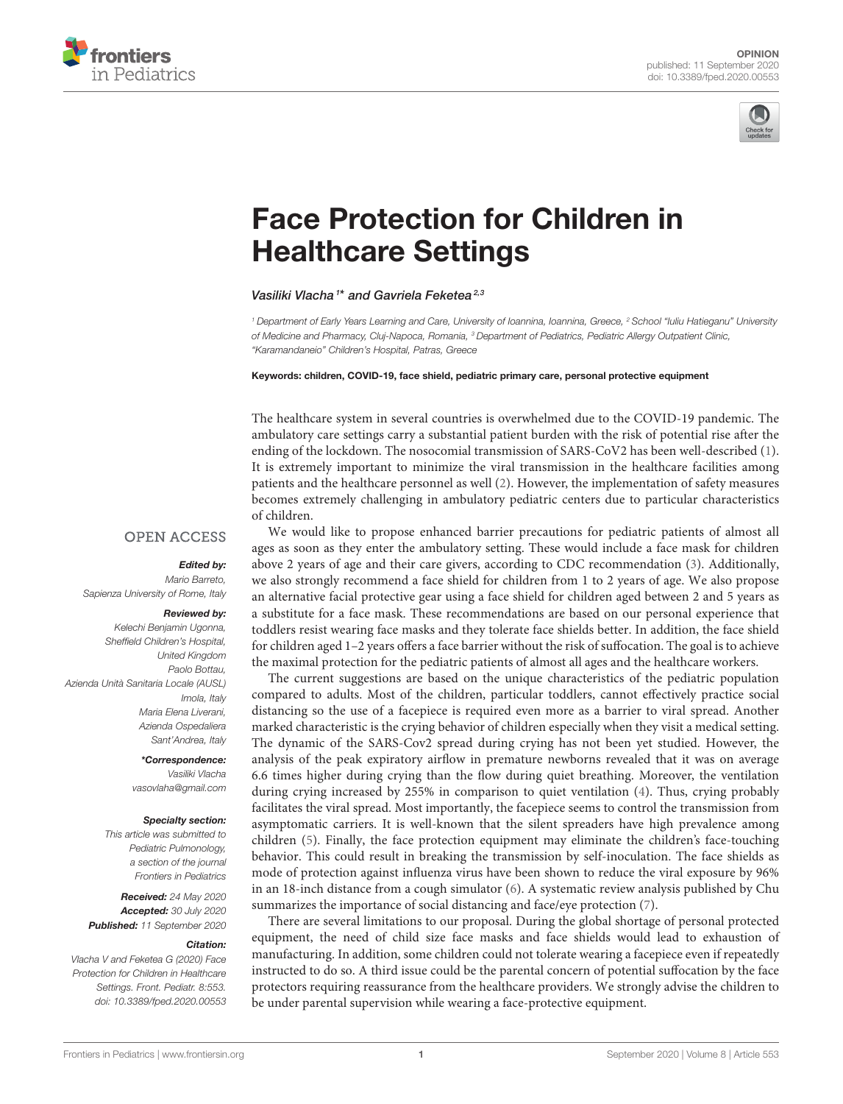



# [Face Protection for Children in](https://www.frontiersin.org/articles/10.3389/fped.2020.00553/full) Healthcare Settings

Vasiliki Vlacha<sup>1\*</sup> and Gavriela Feketea<sup>2,3</sup>

<sup>1</sup> Department of Early Years Learning and Care, University of Ioannina, Ioannina, Greece, <sup>2</sup> School "Iuliu Hatieganu" University of Medicine and Pharmacy, Cluj-Napoca, Romania, <sup>3</sup> Department of Pediatrics, Pediatric Allergy Outpatient Clinic, "Karamandaneio" Children's Hospital, Patras, Greece

#### Keywords: children, COVID-19, face shield, pediatric primary care, personal protective equipment

The healthcare system in several countries is overwhelmed due to the COVID-19 pandemic. The ambulatory care settings carry a substantial patient burden with the risk of potential rise after the ending of the lockdown. The nosocomial transmission of SARS-CoV2 has been well-described [\(1\)](#page-1-0). It is extremely important to minimize the viral transmission in the healthcare facilities among patients and the healthcare personnel as well [\(2\)](#page-1-1). However, the implementation of safety measures becomes extremely challenging in ambulatory pediatric centers due to particular characteristics of children.

## **OPEN ACCESS**

### Edited by:

Mario Barreto, Sapienza University of Rome, Italy

#### Reviewed by:

Kelechi Benjamin Ugonna, Sheffield Children's Hospital, United Kingdom Paolo Bottau, Azienda Unità Sanitaria Locale (AUSL) Imola, Italy Maria Elena Liverani, Azienda Ospedaliera Sant'Andrea, Italy

> \*Correspondence: Vasiliki Vlacha [vasovlaha@gmail.com](mailto:vasovlaha@gmail.com)

#### Specialty section:

This article was submitted to Pediatric Pulmonology, a section of the journal Frontiers in Pediatrics

Received: 24 May 2020 Accepted: 30 July 2020 Published: 11 September 2020

#### Citation:

Vlacha V and Feketea G (2020) Face Protection for Children in Healthcare Settings. Front. Pediatr. 8:553. doi: [10.3389/fped.2020.00553](https://doi.org/10.3389/fped.2020.00553)

We would like to propose enhanced barrier precautions for pediatric patients of almost all ages as soon as they enter the ambulatory setting. These would include a face mask for children above 2 years of age and their care givers, according to CDC recommendation [\(3\)](#page-1-2). Additionally, we also strongly recommend a face shield for children from 1 to 2 years of age. We also propose an alternative facial protective gear using a face shield for children aged between 2 and 5 years as a substitute for a face mask. These recommendations are based on our personal experience that toddlers resist wearing face masks and they tolerate face shields better. In addition, the face shield for children aged 1–2 years offers a face barrier without the risk of suffocation. The goal is to achieve the maximal protection for the pediatric patients of almost all ages and the healthcare workers.

The current suggestions are based on the unique characteristics of the pediatric population compared to adults. Most of the children, particular toddlers, cannot effectively practice social distancing so the use of a facepiece is required even more as a barrier to viral spread. Another marked characteristic is the crying behavior of children especially when they visit a medical setting. The dynamic of the SARS-Cov2 spread during crying has not been yet studied. However, the analysis of the peak expiratory airflow in premature newborns revealed that it was on average 6.6 times higher during crying than the flow during quiet breathing. Moreover, the ventilation during crying increased by 255% in comparison to quiet ventilation [\(4\)](#page-1-3). Thus, crying probably facilitates the viral spread. Most importantly, the facepiece seems to control the transmission from asymptomatic carriers. It is well-known that the silent spreaders have high prevalence among children [\(5\)](#page-1-4). Finally, the face protection equipment may eliminate the children's face-touching behavior. This could result in breaking the transmission by self-inoculation. The face shields as mode of protection against influenza virus have been shown to reduce the viral exposure by 96% in an 18-inch distance from a cough simulator [\(6\)](#page-1-5). A systematic review analysis published by Chu summarizes the importance of social distancing and face/eye protection [\(7\)](#page-1-6).

There are several limitations to our proposal. During the global shortage of personal protected equipment, the need of child size face masks and face shields would lead to exhaustion of manufacturing. In addition, some children could not tolerate wearing a facepiece even if repeatedly instructed to do so. A third issue could be the parental concern of potential suffocation by the face protectors requiring reassurance from the healthcare providers. We strongly advise the children to be under parental supervision while wearing a face-protective equipment.